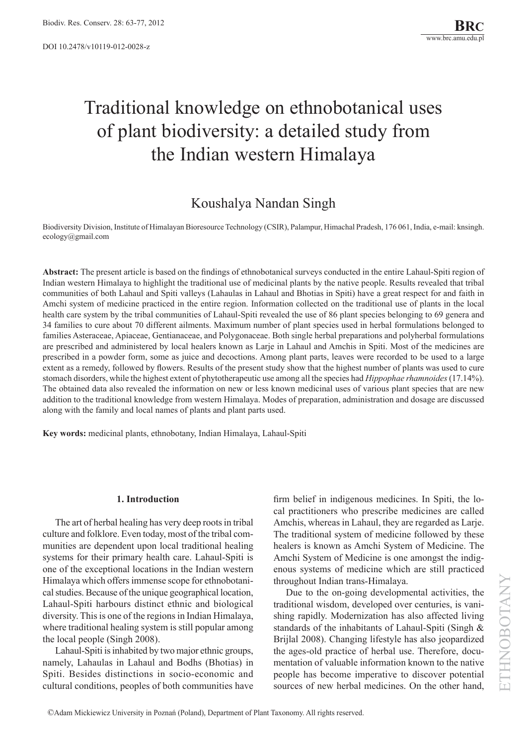# Traditional knowledge on ethnobotanical uses of plant biodiversity: a detailed study from the Indian western Himalaya

## Koushalya Nandan Singh

Biodiversity Division, Institute of Himalayan Bioresource Technology (CSIR), Palampur, Himachal Pradesh, 176 061, India, e-mail: knsingh. ecology@gmail.com

**Abstract:** The present article is based on the findings of ethnobotanical surveys conducted in the entire Lahaul-Spiti region of Indian western Himalaya to highlight the traditional use of medicinal plants by the native people. Results revealed that tribal communities of both Lahaul and Spiti valleys (Lahaulas in Lahaul and Bhotias in Spiti) have a great respect for and faith in Amchi system of medicine practiced in the entire region. Information collected on the traditional use of plants in the local health care system by the tribal communities of Lahaul-Spiti revealed the use of 86 plant species belonging to 69 genera and 34 families to cure about 70 different ailments. Maximum number of plant species used in herbal formulations belonged to families Asteraceae, Apiaceae, Gentianaceae, and Polygonaceae. Both single herbal preparations and polyherbal formulations are prescribed and administered by local healers known as Larje in Lahaul and Amchis in Spiti. Most of the medicines are prescribed in a powder form, some as juice and decoctions. Among plant parts, leaves were recorded to be used to a large extent as a remedy, followed by flowers. Results of the present study show that the highest number of plants was used to cure stomach disorders, while the highest extent of phytotherapeutic use among all the species had *Hippophae rhamnoides* (17.14%). The obtained data also revealed the information on new or less known medicinal uses of various plant species that are new addition to the traditional knowledge from western Himalaya. Modes of preparation, administration and dosage are discussed along with the family and local names of plants and plant parts used.

**Key words:** medicinal plants, ethnobotany, Indian Himalaya, Lahaul-Spiti

## **1. Introduction**

The art of herbal healing has very deep roots in tribal culture and folklore. Even today, most of the tribal communities are dependent upon local traditional healing systems for their primary health care. Lahaul-Spiti is one of the exceptional locations in the Indian western Himalaya which offers immense scope for ethnobotanical studies. Because of the unique geographical location, Lahaul-Spiti harbours distinct ethnic and biological diversity. This is one of the regions in Indian Himalaya, where traditional healing system is still popular among the local people (Singh 2008).

Lahaul-Spiti is inhabited by two major ethnic groups, namely, Lahaulas in Lahaul and Bodhs (Bhotias) in Spiti. Besides distinctions in socio-economic and cultural conditions, peoples of both communities have firm belief in indigenous medicines. In Spiti, the local practitioners who prescribe medicines are called Amchis, whereas in Lahaul, they are regarded as Larje. The traditional system of medicine followed by these healers is known as Amchi System of Medicine. The Amchi System of Medicine is one amongst the indigenous systems of medicine which are still practiced throughout Indian trans-Himalaya.

Due to the on-going developmental activities, the traditional wisdom, developed over centuries, is vanishing rapidly. Modernization has also affected living standards of the inhabitants of Lahaul-Spiti (Singh & Brijlal 2008). Changing lifestyle has also jeopardized the ages-old practice of herbal use. Therefore, documentation of valuable information known to the native people has become imperative to discover potential sources of new herbal medicines. On the other hand,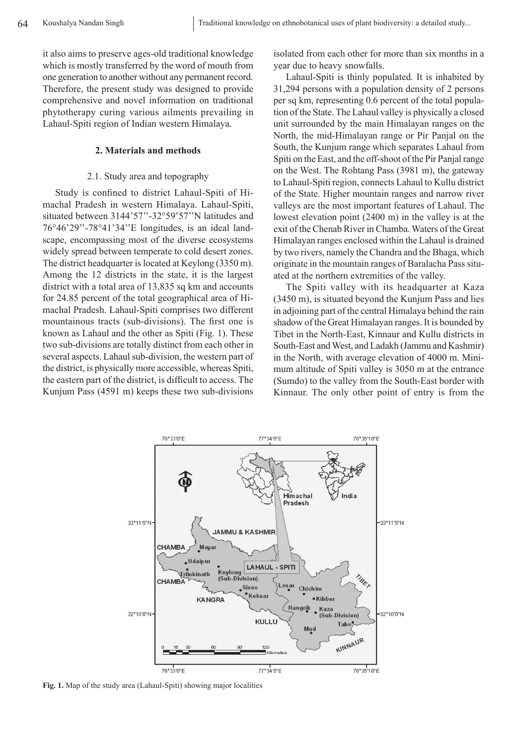it also aims to preserve ages-old traditional knowledge which is mostly transferred by the word of mouth from one generation to another without any permanent record. Therefore, the present study was designed to provide comprehensive and novel information on traditional phytotherapy curing various ailments prevailing in Lahaul-Spiti region of Indian western Himalaya.

## **2. Materials and methods**

## 2.1. Study area and topography

Study is confined to district Lahaul-Spiti of Himachal Pradesh in western Himalaya. Lahaul-Spiti, situated between 3144'57''-32°59'57''N latitudes and 76°46'29''-78°41'34''E longitudes, is an ideal landscape, encompassing most of the diverse ecosystems widely spread between temperate to cold desert zones. The district headquarter is located at Keylong (3350 m). Among the 12 districts in the state, it is the largest district with a total area of 13,835 sq km and accounts for 24.85 percent of the total geographical area of Himachal Pradesh. Lahaul-Spiti comprises two different mountainous tracts (sub-divisions). The first one is known as Lahaul and the other as Spiti (Fig. 1). These two sub-divisions are totally distinct from each other in several aspects. Lahaul sub-division, the western part of the district, is physically more accessible, whereas Spiti, the eastern part of the district, is difficult to access. The Kunjum Pass (4591 m) keeps these two sub-divisions

isolated from each other for more than six months in a year due to heavy snowfalls.

Lahaul-Spiti is thinly populated. It is inhabited by 31,294 persons with a population density of 2 persons per sq km, representing 0.6 percent of the total population of the State. The Lahaul valley is physically a closed unit surrounded by the main Himalayan ranges on the North, the mid-Himalayan range or Pir Panjal on the South, the Kunjum range which separates Lahaul from Spiti on the East, and the off-shoot of the Pir Panjal range on the West. The Rohtang Pass (3981 m), the gateway to Lahaul-Spiti region, connects Lahaul to Kullu district of the State. Higher mountain ranges and narrow river valleys are the most important features of Lahaul. The lowest elevation point (2400 m) in the valley is at the exit of the Chenab River in Chamba. Waters of the Great Himalayan ranges enclosed within the Lahaul is drained by two rivers, namely the Chandra and the Bhaga, which originate in the mountain ranges of Baralacha Pass situated at the northern extremities of the valley.

The Spiti valley with its headquarter at Kaza (3450 m), is situated beyond the Kunjum Pass and lies in adjoining part of the central Himalaya behind the rain shadow of the Great Himalayan ranges. It is bounded by Tibet in the North-East, Kinnaur and Kullu districts in South-East and West, and Ladakh (Jammu and Kashmir) in the North, with average elevation of 4000 m. Minimum altitude of Spiti valley is 3050 m at the entrance (Sumdo) to the valley from the South-East border with Kinnaur. The only other point of entry is from the



**Fig. 1.** Map of the study area (Lahaul-Spiti) showing major localities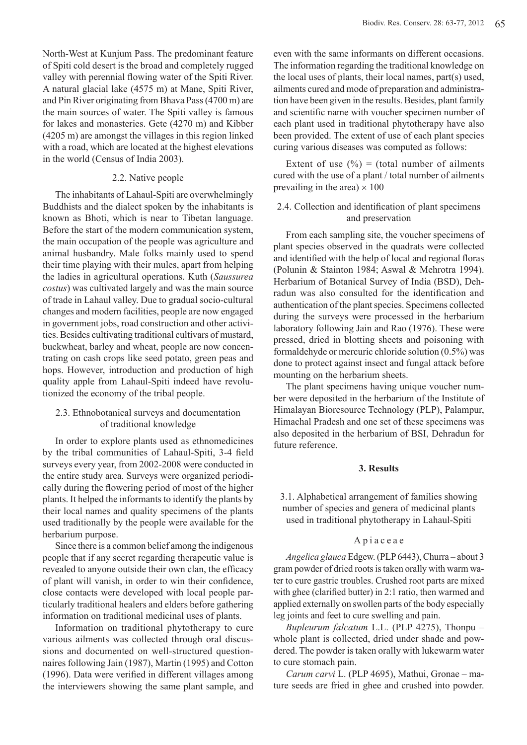North-West at Kunjum Pass. The predominant feature of Spiti cold desert is the broad and completely rugged valley with perennial flowing water of the Spiti River. A natural glacial lake (4575 m) at Mane, Spiti River, and Pin River originating from Bhava Pass (4700 m) are the main sources of water. The Spiti valley is famous for lakes and monasteries. Gete (4270 m) and Kibber (4205 m) are amongst the villages in this region linked with a road, which are located at the highest elevations in the world (Census of India 2003).

## 2.2. Native people

The inhabitants of Lahaul-Spiti are overwhelmingly Buddhists and the dialect spoken by the inhabitants is known as Bhoti, which is near to Tibetan language. Before the start of the modern communication system, the main occupation of the people was agriculture and animal husbandry. Male folks mainly used to spend their time playing with their mules, apart from helping the ladies in agricultural operations. Kuth (*Saussurea costus*) was cultivated largely and was the main source of trade in Lahaul valley. Due to gradual socio-cultural changes and modern facilities, people are now engaged in government jobs, road construction and other activities. Besides cultivating traditional cultivars of mustard, buckwheat, barley and wheat, people are now concentrating on cash crops like seed potato, green peas and hops. However, introduction and production of high quality apple from Lahaul-Spiti indeed have revolutionized the economy of the tribal people.

## 2.3. Ethnobotanical surveys and documentation of traditional knowledge

In order to explore plants used as ethnomedicines by the tribal communities of Lahaul-Spiti, 3-4 field surveys every year, from 2002-2008 were conducted in the entire study area. Surveys were organized periodically during the flowering period of most of the higher plants. It helped the informants to identify the plants by their local names and quality specimens of the plants used traditionally by the people were available for the herbarium purpose.

Since there is a common belief among the indigenous people that if any secret regarding therapeutic value is revealed to anyone outside their own clan, the efficacy of plant will vanish, in order to win their confidence, close contacts were developed with local people particularly traditional healers and elders before gathering information on traditional medicinal uses of plants.

Information on traditional phytotherapy to cure various ailments was collected through oral discussions and documented on well-structured questionnaires following Jain (1987), Martin (1995) and Cotton (1996). Data were verified in different villages among the interviewers showing the same plant sample, and

even with the same informants on different occasions. The information regarding the traditional knowledge on the local uses of plants, their local names, part(s) used, ailments cured and mode of preparation and administration have been given in the results. Besides, plant family and scientific name with voucher specimen number of each plant used in traditional phytotherapy have also been provided. The extent of use of each plant species curing various diseases was computed as follows:

Extent of use  $(\frac{9}{0})$  = (total number of ailments cured with the use of a plant / total number of ailments prevailing in the area)  $\times$  100

## 2.4. Collection and identification of plant specimens and preservation

From each sampling site, the voucher specimens of plant species observed in the quadrats were collected and identified with the help of local and regional floras (Polunin & Stainton 1984; Aswal & Mehrotra 1994). Herbarium of Botanical Survey of India (BSD), Dehradun was also consulted for the identification and authentication of the plant species. Specimens collected during the surveys were processed in the herbarium laboratory following Jain and Rao (1976). These were pressed, dried in blotting sheets and poisoning with formaldehyde or mercuric chloride solution (0.5%) was done to protect against insect and fungal attack before mounting on the herbarium sheets.

The plant specimens having unique voucher number were deposited in the herbarium of the Institute of Himalayan Bioresource Technology (PLP), Palampur, Himachal Pradesh and one set of these specimens was also deposited in the herbarium of BSI, Dehradun for future reference.

#### **3. Results**

3.1. Alphabetical arrangement of families showing number of species and genera of medicinal plants used in traditional phytotherapy in Lahaul-Spiti

#### Apiaceae

*Angelica glauca* Edgew. (PLP 6443), Churra – about 3 gram powder of dried roots is taken orally with warm water to cure gastric troubles. Crushed root parts are mixed with ghee (clarified butter) in 2:1 ratio, then warmed and applied externally on swollen parts of the body especially leg joints and feet to cure swelling and pain.

*Bupleurum falcatum* L.L. (PLP 4275), Thonpu – whole plant is collected, dried under shade and powdered. The powder is taken orally with lukewarm water to cure stomach pain.

*Carum carvi* L. (PLP 4695), Mathui, Gronae – mature seeds are fried in ghee and crushed into powder.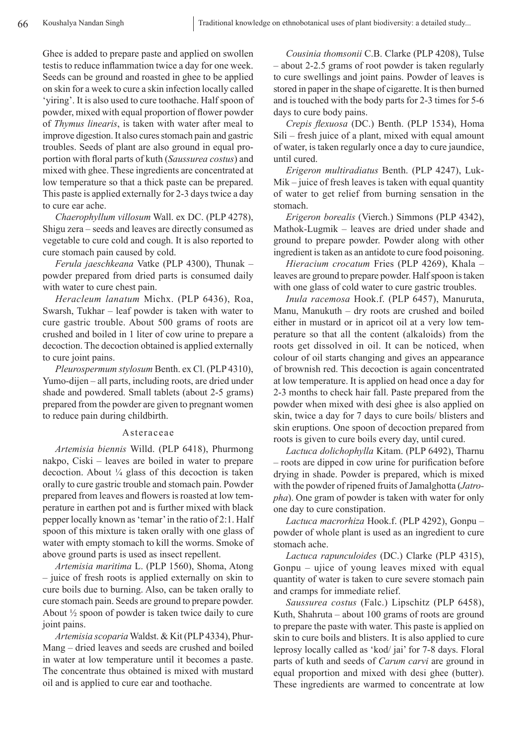Ghee is added to prepare paste and applied on swollen testis to reduce inflammation twice a day for one week. Seeds can be ground and roasted in ghee to be applied on skin for a week to cure a skin infection locally called 'yiring'. It is also used to cure toothache. Half spoon of powder, mixed with equal proportion of flower powder of *Thymus linearis*, is taken with water after meal to improve digestion. It also cures stomach pain and gastric troubles. Seeds of plant are also ground in equal proportion with floral parts of kuth (*Saussurea costus*) and mixed with ghee. These ingredients are concentrated at low temperature so that a thick paste can be prepared. This paste is applied externally for 2-3 days twice a day to cure ear ache.

*Chaerophyllum villosum* Wall. ex DC. (PLP 4278), Shigu zera – seeds and leaves are directly consumed as vegetable to cure cold and cough. It is also reported to cure stomach pain caused by cold.

*Ferula jaeschkeana* Vatke (PLP 4300), Thunak – powder prepared from dried parts is consumed daily with water to cure chest pain.

*Heracleum lanatum* Michx. (PLP 6436), Roa, Swarsh, Tukhar – leaf powder is taken with water to cure gastric trouble. About 500 grams of roots are crushed and boiled in 1 liter of cow urine to prepare a decoction. The decoction obtained is applied externally to cure joint pains.

*Pleurospermum stylosum* Benth. ex Cl. (PLP 4310), Yumo-dijen – all parts, including roots, are dried under shade and powdered. Small tablets (about 2-5 grams) prepared from the powder are given to pregnant women to reduce pain during childbirth.

## Asteraceae

*Artemisia biennis* Willd. (PLP 6418), Phurmong nakpo, Ciski – leaves are boiled in water to prepare decoction. About  $\frac{1}{4}$  glass of this decoction is taken orally to cure gastric trouble and stomach pain. Powder prepared from leaves and flowers is roasted at low temperature in earthen pot and is further mixed with black pepper locally known as 'temar' in the ratio of 2:1. Half spoon of this mixture is taken orally with one glass of water with empty stomach to kill the worms. Smoke of above ground parts is used as insect repellent.

*Artemisia maritima* L. (PLP 1560), Shoma, Atong – juice of fresh roots is applied externally on skin to cure boils due to burning. Also, can be taken orally to cure stomach pain. Seeds are ground to prepare powder. About ½ spoon of powder is taken twice daily to cure joint pains.

*Artemisia scoparia* Waldst. & Kit (PLP 4334), Phur-Mang – dried leaves and seeds are crushed and boiled in water at low temperature until it becomes a paste. The concentrate thus obtained is mixed with mustard oil and is applied to cure ear and toothache.

*Cousinia thomsonii* C.B. Clarke (PLP 4208), Tulse – about 2-2.5 grams of root powder is taken regularly to cure swellings and joint pains. Powder of leaves is stored in paper in the shape of cigarette. It is then burned and is touched with the body parts for 2-3 times for 5-6 days to cure body pains.

*Crepis flexuosa* (DC.) Benth. (PLP 1534), Homa Sili – fresh juice of a plant, mixed with equal amount of water, is taken regularly once a day to cure jaundice, until cured.

*Erigeron multiradiatus* Benth. (PLP 4247), Luk-Mik – juice of fresh leaves is taken with equal quantity of water to get relief from burning sensation in the stomach.

*Erigeron borealis* (Vierch.) Simmons (PLP 4342), Mathok-Lugmik – leaves are dried under shade and ground to prepare powder. Powder along with other ingredient is taken as an antidote to cure food poisoning.

*Hieracium crocatum* Fries (PLP 4269), Khala – leaves are ground to prepare powder. Half spoon is taken with one glass of cold water to cure gastric troubles.

*Inula racemosa* Hook.f. (PLP 6457), Manuruta, Manu, Manukuth – dry roots are crushed and boiled either in mustard or in apricot oil at a very low temperature so that all the content (alkaloids) from the roots get dissolved in oil. It can be noticed, when colour of oil starts changing and gives an appearance of brownish red. This decoction is again concentrated at low temperature. It is applied on head once a day for 2-3 months to check hair fall. Paste prepared from the powder when mixed with desi ghee is also applied on skin, twice a day for 7 days to cure boils/ blisters and skin eruptions. One spoon of decoction prepared from roots is given to cure boils every day, until cured.

*Lactuca dolichophylla* Kitam. (PLP 6492), Tharnu – roots are dipped in cow urine for purification before drying in shade. Powder is prepared, which is mixed with the powder of ripened fruits of Jamalghotta (*Jatropha*). One gram of powder is taken with water for only one day to cure constipation.

*Lactuca macrorhiza* Hook.f. (PLP 4292), Gonpu – powder of whole plant is used as an ingredient to cure stomach ache.

*Lactuca rapunculoides* (DC.) Clarke (PLP 4315), Gonpu – ujice of young leaves mixed with equal quantity of water is taken to cure severe stomach pain and cramps for immediate relief.

*Saussurea costus* (Falc.) Lipschitz (PLP 6458), Kuth, Shahruta – about 100 grams of roots are ground to prepare the paste with water. This paste is applied on skin to cure boils and blisters. It is also applied to cure leprosy locally called as 'kod/ jai' for 7-8 days. Floral parts of kuth and seeds of *Carum carvi* are ground in equal proportion and mixed with desi ghee (butter). These ingredients are warmed to concentrate at low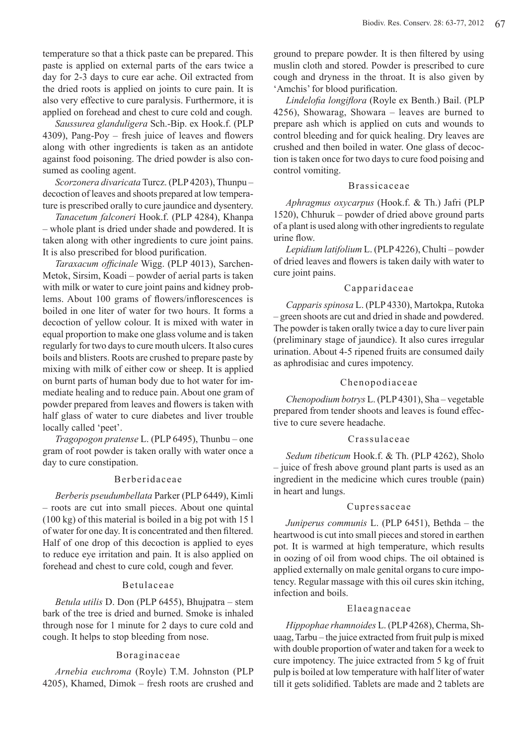temperature so that a thick paste can be prepared. This paste is applied on external parts of the ears twice a day for 2-3 days to cure ear ache. Oil extracted from the dried roots is applied on joints to cure pain. It is also very effective to cure paralysis. Furthermore, it is applied on forehead and chest to cure cold and cough.

*Saussurea glanduligera* Sch.-Bip. ex Hook.f. (PLP 4309), Pang-Poy – fresh juice of leaves and flowers along with other ingredients is taken as an antidote against food poisoning. The dried powder is also consumed as cooling agent.

*Scorzonera divaricata* Turcz. (PLP 4203), Thunpu – decoction of leaves and shoots prepared at low temperature is prescribed orally to cure jaundice and dysentery.

*Tanacetum falconeri* Hook.f. (PLP 4284), Khanpa – whole plant is dried under shade and powdered. It is taken along with other ingredients to cure joint pains. It is also prescribed for blood purification.

*Taraxacum officinale* Wigg. (PLP 4013), Sarchen-Metok, Sirsim, Koadi – powder of aerial parts is taken with milk or water to cure joint pains and kidney problems. About 100 grams of flowers/inflorescences is boiled in one liter of water for two hours. It forms a decoction of yellow colour. It is mixed with water in equal proportion to make one glass volume and is taken regularly for two days to cure mouth ulcers. It also cures boils and blisters. Roots are crushed to prepare paste by mixing with milk of either cow or sheep. It is applied on burnt parts of human body due to hot water for immediate healing and to reduce pain. About one gram of powder prepared from leaves and flowers is taken with half glass of water to cure diabetes and liver trouble locally called 'peet'.

*Tragopogon pratense* L. (PLP 6495), Thunbu – one gram of root powder is taken orally with water once a day to cure constipation.

## Berberidaceae

*Berberis pseudumbellata* Parker (PLP 6449), Kimli – roots are cut into small pieces. About one quintal (100 kg) of this material is boiled in a big pot with 15 l of water for one day. It is concentrated and then filtered. Half of one drop of this decoction is applied to eyes to reduce eye irritation and pain. It is also applied on forehead and chest to cure cold, cough and fever.

## Betulaceae

*Betula utilis* D. Don (PLP 6455), Bhujpatra – stem bark of the tree is dried and burned. Smoke is inhaled through nose for 1 minute for 2 days to cure cold and cough. It helps to stop bleeding from nose.

## Boraginaceae

*Arnebia euchroma* (Royle) T.M. Johnston (PLP 4205), Khamed, Dimok – fresh roots are crushed and ground to prepare powder. It is then filtered by using muslin cloth and stored. Powder is prescribed to cure cough and dryness in the throat. It is also given by 'Amchis' for blood purification.

*Lindelofia longiflora* (Royle ex Benth.) Bail. (PLP 4256), Showarag, Showara – leaves are burned to prepare ash which is applied on cuts and wounds to control bleeding and for quick healing. Dry leaves are crushed and then boiled in water. One glass of decoction is taken once for two days to cure food poising and control vomiting.

#### Brassicaceae

*Aphragmus oxycarpus* (Hook.f. & Th.) Jafri (PLP 1520), Chhuruk – powder of dried above ground parts of a plant is used along with other ingredients to regulate urine flow.

*Lepidium latifolium* L. (PLP 4226), Chulti – powder of dried leaves and flowers is taken daily with water to cure joint pains.

#### Capparidaceae

*Capparis spinosa* L. (PLP 4330), Martokpa, Rutoka – green shoots are cut and dried in shade and powdered. The powder is taken orally twice a day to cure liver pain (preliminary stage of jaundice). It also cures irregular urination. About 4-5 ripened fruits are consumed daily as aphrodisiac and cures impotency.

## Chenopodiaceae

*Chenopodium botrys* L. (PLP 4301), Sha – vegetable prepared from tender shoots and leaves is found effective to cure severe headache.

#### Crassulaceae

*Sedum tibeticum* Hook.f. & Th. (PLP 4262), Sholo – juice of fresh above ground plant parts is used as an ingredient in the medicine which cures trouble (pain) in heart and lungs.

#### Cupressaceae

*Juniperus communis* L. (PLP 6451), Bethda – the heartwood is cut into small pieces and stored in earthen pot. It is warmed at high temperature, which results in oozing of oil from wood chips. The oil obtained is applied externally on male genital organs to cure impotency. Regular massage with this oil cures skin itching, infection and boils.

#### Elaeagnaceae

*Hippophae rhamnoides* L. (PLP 4268), Cherma, Shuaag, Tarbu – the juice extracted from fruit pulp is mixed with double proportion of water and taken for a week to cure impotency. The juice extracted from 5 kg of fruit pulp is boiled at low temperature with half liter of water till it gets solidified. Tablets are made and 2 tablets are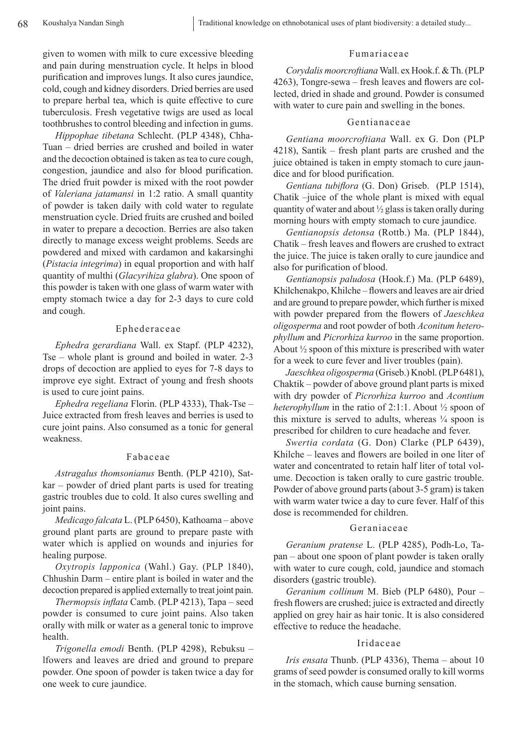given to women with milk to cure excessive bleeding and pain during menstruation cycle. It helps in blood purification and improves lungs. It also cures jaundice, cold, cough and kidney disorders. Dried berries are used to prepare herbal tea, which is quite effective to cure tuberculosis. Fresh vegetative twigs are used as local toothbrushes to control bleeding and infection in gums.

*Hippophae tibetana* Schlecht. (PLP 4348), Chha-Tuan – dried berries are crushed and boiled in water and the decoction obtained is taken as tea to cure cough, congestion, jaundice and also for blood purification. The dried fruit powder is mixed with the root powder of *Valeriana jatamansi* in 1:2 ratio. A small quantity of powder is taken daily with cold water to regulate menstruation cycle. Dried fruits are crushed and boiled in water to prepare a decoction. Berries are also taken directly to manage excess weight problems. Seeds are powdered and mixed with cardamon and kakarsinghi (*Pistacia integrima*) in equal proportion and with half quantity of multhi (*Glacyrihiza glabra*). One spoon of this powder is taken with one glass of warm water with empty stomach twice a day for 2-3 days to cure cold and cough.

## Ephederaceae

*Ephedra gerardiana* Wall. ex Stapf. (PLP 4232), Tse – whole plant is ground and boiled in water. 2-3 drops of decoction are applied to eyes for 7-8 days to improve eye sight. Extract of young and fresh shoots is used to cure joint pains.

*Ephedra regeliana* Florin. (PLP 4333), Thak-Tse – Juice extracted from fresh leaves and berries is used to cure joint pains. Also consumed as a tonic for general weakness.

## Fabaceae

*Astragalus thomsonianus* Benth. (PLP 4210), Satkar – powder of dried plant parts is used for treating gastric troubles due to cold. It also cures swelling and joint pains.

*Medicago falcata* L. (PLP 6450), Kathoama – above ground plant parts are ground to prepare paste with water which is applied on wounds and injuries for healing purpose.

*Oxytropis lapponica* (Wahl.) Gay. (PLP 1840), Chhushin Darm – entire plant is boiled in water and the decoction prepared is applied externally to treat joint pain.

*Thermopsis inflata* Camb. (PLP 4213), Tapa – seed powder is consumed to cure joint pains. Also taken orally with milk or water as a general tonic to improve health.

*Trigonella emodi* Benth. (PLP 4298), Rebuksu – lfowers and leaves are dried and ground to prepare powder. One spoon of powder is taken twice a day for one week to cure jaundice.

## Fumariaceae

*Corydalis moorcroftiana* Wall. ex Hook.f. & Th. (PLP 4263), Tongre-sewa – fresh leaves and flowers are collected, dried in shade and ground. Powder is consumed with water to cure pain and swelling in the bones.

## Gentianaceae

*Gentiana moorcroftiana* Wall. ex G. Don (PLP 4218), Santik – fresh plant parts are crushed and the juice obtained is taken in empty stomach to cure jaundice and for blood purification.

*Gentiana tubiflora* (G. Don) Griseb. (PLP 1514), Chatik –juice of the whole plant is mixed with equal quantity of water and about  $\frac{1}{2}$  glass is taken orally during morning hours with empty stomach to cure jaundice.

*Gentianopsis detonsa* (Rottb.) Ma. (PLP 1844), Chatik – fresh leaves and flowers are crushed to extract the juice. The juice is taken orally to cure jaundice and also for purification of blood.

*Gentianopsis paludosa* (Hook.f.) Ma. (PLP 6489), Khilchenakpo, Khilche – flowers and leaves are air dried and are ground to prepare powder, which further is mixed with powder prepared from the flowers of *Jaeschkea oligosperma* and root powder of both *Aconitum heterophyllum* and *Picrorhiza kurroo* in the same proportion. About ½ spoon of this mixture is prescribed with water for a week to cure fever and liver troubles (pain).

*Jaeschkea oligosperma* (Griseb.) Knobl. (PLP 6481), Chaktik – powder of above ground plant parts is mixed with dry powder of *Picrorhiza kurroo* and *Acontium heterophyllum* in the ratio of 2:1:1. About ½ spoon of this mixture is served to adults, whereas  $\frac{1}{4}$  spoon is prescribed for children to cure headache and fever.

*Swertia cordata* (G. Don) Clarke (PLP 6439), Khilche – leaves and flowers are boiled in one liter of water and concentrated to retain half liter of total volume. Decoction is taken orally to cure gastric trouble. Powder of above ground parts (about 3-5 gram) is taken with warm water twice a day to cure fever. Half of this dose is recommended for children.

## Geraniaceae

*Geranium pratense* L. (PLP 4285), Podh-Lo, Tapan – about one spoon of plant powder is taken orally with water to cure cough, cold, jaundice and stomach disorders (gastric trouble).

*Geranium collinum* M. Bieb (PLP 6480), Pour – fresh flowers are crushed; juice is extracted and directly applied on grey hair as hair tonic. It is also considered effective to reduce the headache.

## Iridaceae

*Iris ensata* Thunb. (PLP 4336), Thema – about 10 grams of seed powder is consumed orally to kill worms in the stomach, which cause burning sensation.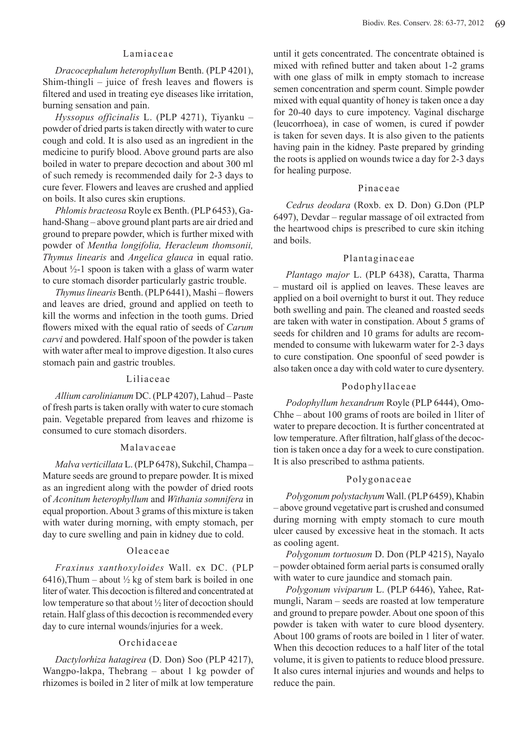#### Lamiaceae

*Dracocephalum heterophyllum* Benth. (PLP 4201), Shim-thingli – juice of fresh leaves and flowers is filtered and used in treating eye diseases like irritation, burning sensation and pain.

*Hyssopus officinalis* L. (PLP 4271), Tiyanku – powder of dried parts is taken directly with water to cure cough and cold. It is also used as an ingredient in the medicine to purify blood. Above ground parts are also boiled in water to prepare decoction and about 300 ml of such remedy is recommended daily for 2-3 days to cure fever. Flowers and leaves are crushed and applied on boils. It also cures skin eruptions.

*Phlomis bracteosa* Royle ex Benth. (PLP 6453), Gahand-Shang – above ground plant parts are air dried and ground to prepare powder, which is further mixed with powder of *Mentha longifolia, Heracleum thomsonii, Thymus linearis* and *Angelica glauca* in equal ratio. About  $\frac{1}{2}$ -1 spoon is taken with a glass of warm water to cure stomach disorder particularly gastric trouble.

*Thymus linearis* Benth. (PLP 6441), Mashi – flowers and leaves are dried, ground and applied on teeth to kill the worms and infection in the tooth gums. Dried flowers mixed with the equal ratio of seeds of *Carum carvi* and powdered. Half spoon of the powder is taken with water after meal to improve digestion. It also cures stomach pain and gastric troubles.

#### Liliaceae

*Allium carolinianum* DC. (PLP 4207), Lahud – Paste of fresh parts is taken orally with water to cure stomach pain. Vegetable prepared from leaves and rhizome is consumed to cure stomach disorders.

#### Malavaceae

*Malva verticillata* L. (PLP 6478), Sukchil, Champa – Mature seeds are ground to prepare powder. It is mixed as an ingredient along with the powder of dried roots of *Aconitum heterophyllum* and *Withania somnifera* in equal proportion. About 3 grams of this mixture is taken with water during morning, with empty stomach, per day to cure swelling and pain in kidney due to cold.

#### Oleaceae

*Fraxinus xanthoxyloides* Wall. ex DC. (PLP 6416), Thum – about  $\frac{1}{2}$  kg of stem bark is boiled in one liter of water. This decoction is filtered and concentrated at low temperature so that about ½ liter of decoction should retain. Half glass of this decoction is recommended every day to cure internal wounds/injuries for a week.

#### Orchidaceae

*Dactylorhiza hatagirea* (D. Don) Soo (PLP 4217), Wangpo-lakpa, Thebrang – about 1 kg powder of rhizomes is boiled in 2 liter of milk at low temperature

until it gets concentrated. The concentrate obtained is mixed with refined butter and taken about 1-2 grams with one glass of milk in empty stomach to increase semen concentration and sperm count. Simple powder mixed with equal quantity of honey is taken once a day for 20-40 days to cure impotency. Vaginal discharge (leucorrhoea), in case of women, is cured if powder is taken for seven days. It is also given to the patients having pain in the kidney. Paste prepared by grinding the roots is applied on wounds twice a day for 2-3 days for healing purpose.

## Pinaceae

*Cedrus deodara* (Roxb. ex D. Don) G.Don (PLP 6497), Devdar – regular massage of oil extracted from the heartwood chips is prescribed to cure skin itching and boils.

## Plantaginaceae

*Plantago major* L. (PLP 6438), Caratta, Tharma – mustard oil is applied on leaves. These leaves are applied on a boil overnight to burst it out. They reduce both swelling and pain. The cleaned and roasted seeds are taken with water in constipation. About 5 grams of seeds for children and 10 grams for adults are recommended to consume with lukewarm water for 2-3 days to cure constipation. One spoonful of seed powder is also taken once a day with cold water to cure dysentery.

#### Podophyllaceae

*Podophyllum hexandrum* Royle (PLP 6444), Omo-Chhe – about 100 grams of roots are boiled in 1liter of water to prepare decoction. It is further concentrated at low temperature. After filtration, half glass of the decoction is taken once a day for a week to cure constipation. It is also prescribed to asthma patients.

## Polygonaceae

*Polygonum polystachyum* Wall. (PLP 6459), Khabin – above ground vegetative part is crushed and consumed during morning with empty stomach to cure mouth ulcer caused by excessive heat in the stomach. It acts as cooling agent.

*Polygonum tortuosum* D. Don (PLP 4215), Nayalo – powder obtained form aerial parts is consumed orally with water to cure jaundice and stomach pain.

*Polygonum viviparum* L. (PLP 6446), Yahee, Ratmungli, Naram – seeds are roasted at low temperature and ground to prepare powder. About one spoon of this powder is taken with water to cure blood dysentery. About 100 grams of roots are boiled in 1 liter of water. When this decoction reduces to a half liter of the total volume, it is given to patients to reduce blood pressure. It also cures internal injuries and wounds and helps to reduce the pain.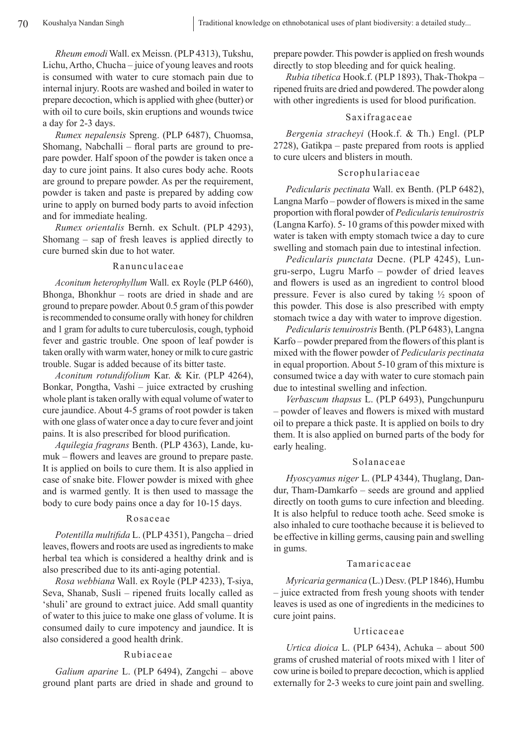*Rheum emodi* Wall. ex Meissn. (PLP 4313), Tukshu, Lichu, Artho, Chucha – juice of young leaves and roots is consumed with water to cure stomach pain due to internal injury. Roots are washed and boiled in water to prepare decoction, which is applied with ghee (butter) or with oil to cure boils, skin eruptions and wounds twice a day for 2-3 days.

*Rumex nepalensis* Spreng. (PLP 6487), Chuomsa, Shomang, Nabchalli – floral parts are ground to prepare powder. Half spoon of the powder is taken once a day to cure joint pains. It also cures body ache. Roots are ground to prepare powder. As per the requirement, powder is taken and paste is prepared by adding cow urine to apply on burned body parts to avoid infection and for immediate healing.

*Rumex orientalis* Bernh. ex Schult. (PLP 4293), Shomang – sap of fresh leaves is applied directly to cure burned skin due to hot water.

## Ranunculaceae

*Aconitum heterophyllum* Wall. ex Royle (PLP 6460), Bhonga, Bhonkhur – roots are dried in shade and are ground to prepare powder. About 0.5 gram of this powder is recommended to consume orally with honey for children and 1 gram for adults to cure tuberculosis, cough, typhoid fever and gastric trouble. One spoon of leaf powder is taken orally with warm water, honey or milk to cure gastric trouble. Sugar is added because of its bitter taste.

*Aconitum rotundifolium* Kar. & Kir. (PLP 4264), Bonkar, Pongtha, Vashi – juice extracted by crushing whole plant is taken orally with equal volume of water to cure jaundice. About 4-5 grams of root powder is taken with one glass of water once a day to cure fever and joint pains. It is also prescribed for blood purification.

*Aquilegia fragrans* Benth. (PLP 4363), Lande, kumuk – flowers and leaves are ground to prepare paste. It is applied on boils to cure them. It is also applied in case of snake bite. Flower powder is mixed with ghee and is warmed gently. It is then used to massage the body to cure body pains once a day for 10-15 days.

## Rosaceae

*Potentilla multifida* L. (PLP 4351), Pangcha – dried leaves, flowers and roots are used as ingredients to make herbal tea which is considered a healthy drink and is also prescribed due to its anti-aging potential.

*Rosa webbiana* Wall. ex Royle (PLP 4233), T-siya, Seva, Shanab, Susli – ripened fruits locally called as 'shuli' are ground to extract juice. Add small quantity of water to this juice to make one glass of volume. It is consumed daily to cure impotency and jaundice. It is also considered a good health drink.

## Rubiaceae

*Galium aparine* L. (PLP 6494), Zangchi – above ground plant parts are dried in shade and ground to

prepare powder. This powder is applied on fresh wounds directly to stop bleeding and for quick healing.

*Rubia tibetica* Hook.f. (PLP 1893), Thak-Thokpa – ripened fruits are dried and powdered. The powder along with other ingredients is used for blood purification.

## Saxifragaceae

*Bergenia stracheyi* (Hook.f. & Th.) Engl. (PLP 2728), Gatikpa – paste prepared from roots is applied to cure ulcers and blisters in mouth.

## Scrophulariaceae

*Pedicularis pectinata* Wall. ex Benth. (PLP 6482), Langna Marfo – powder of flowers is mixed in the same proportion with floral powder of *Pedicularis tenuirostris* (Langna Karfo). 5- 10 grams of this powder mixed with water is taken with empty stomach twice a day to cure swelling and stomach pain due to intestinal infection.

*Pedicularis punctata* Decne. (PLP 4245), Lungru-serpo, Lugru Marfo – powder of dried leaves and flowers is used as an ingredient to control blood pressure. Fever is also cured by taking  $\frac{1}{2}$  spoon of this powder. This dose is also prescribed with empty stomach twice a day with water to improve digestion.

*Pedicularis tenuirostris* Benth. (PLP 6483), Langna Karfo – powder prepared from the flowers of this plant is mixed with the flower powder of *Pedicularis pectinata* in equal proportion. About 5-10 gram of this mixture is consumed twice a day with water to cure stomach pain due to intestinal swelling and infection.

*Verbascum thapsus* L. (PLP 6493), Pungchunpuru – powder of leaves and flowers is mixed with mustard oil to prepare a thick paste. It is applied on boils to dry them. It is also applied on burned parts of the body for early healing.

## Solanaceae

*Hyoscyamus niger* L. (PLP 4344), Thuglang, Dandur, Tham-Damkarfo – seeds are ground and applied directly on tooth gums to cure infection and bleeding. It is also helpful to reduce tooth ache. Seed smoke is also inhaled to cure toothache because it is believed to be effective in killing germs, causing pain and swelling in gums.

## Tamaricaceae

*Myricaria germanica* (L.) Desv. (PLP 1846), Humbu – juice extracted from fresh young shoots with tender leaves is used as one of ingredients in the medicines to cure joint pains.

## Urticaceae

*Urtica dioica* L. (PLP 6434), Achuka – about 500 grams of crushed material of roots mixed with 1 liter of cow urine is boiled to prepare decoction, which is applied externally for 2-3 weeks to cure joint pain and swelling.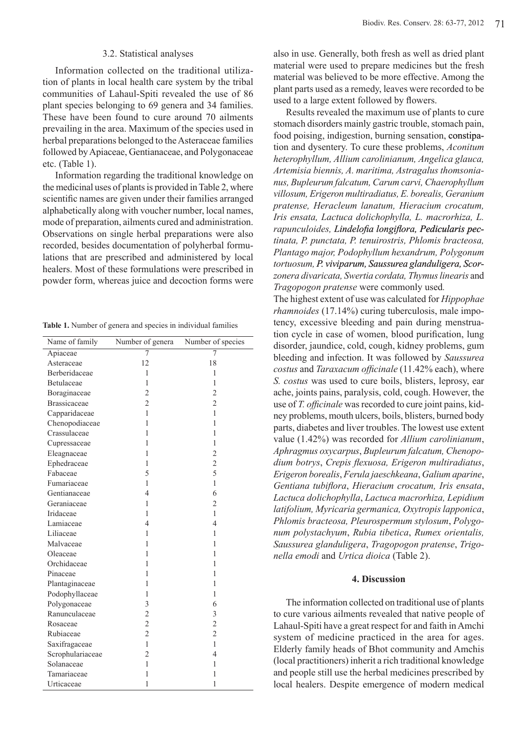#### 3.2. Statistical analyses

Information collected on the traditional utilization of plants in local health care system by the tribal communities of Lahaul-Spiti revealed the use of 86 plant species belonging to 69 genera and 34 families. These have been found to cure around 70 ailments prevailing in the area. Maximum of the species used in herbal preparations belonged to the Asteraceae families followed by Apiaceae, Gentianaceae, and Polygonaceae etc. (Table 1).

Information regarding the traditional knowledge on the medicinal uses of plants is provided in Table 2, where scientific names are given under their families arranged alphabetically along with voucher number, local names, mode of preparation, ailments cured and administration. Observations on single herbal preparations were also recorded, besides documentation of polyherbal formulations that are prescribed and administered by local healers. Most of these formulations were prescribed in powder form, whereas juice and decoction forms were

**Table 1.** Number of genera and species in individual families

| Name of family      | Number of genera | Number of species |
|---------------------|------------------|-------------------|
| Apiaceae            | 7                | 7                 |
| Asteraceae          | 12               | 18                |
| Berberidaceae       | 1                | 1                 |
| Betulaceae          | 1                | 1                 |
| Boraginaceae        | $\overline{c}$   | $\overline{c}$    |
| <b>Brassicaceae</b> | $\overline{c}$   | $\overline{c}$    |
| Capparidaceae       | $\mathbf{1}$     | 1                 |
| Chenopodiaceae      | 1                | 1                 |
| Crassulaceae        | 1                | 1                 |
| Cupressaceae        | 1                | 1                 |
| Eleagnaceae         | 1                | $\overline{c}$    |
| Ephedraceae         | 1                | $\overline{c}$    |
| Fabaceae            | 5                | 5                 |
| Fumariaceae         | 1                | $\mathbf{1}$      |
| Gentianaceae        | $\overline{4}$   | 6                 |
| Geraniaceae         | 1                | $\overline{2}$    |
| Iridaceae           | 1                | 1                 |
| Lamiaceae           | $\overline{4}$   | $\overline{4}$    |
| Liliaceae           | 1                | 1                 |
| Malvaceae           | 1                | 1                 |
| Oleaceae            | 1                | 1                 |
| Orchidaceae         | 1                | 1                 |
| Pinaceae            | 1                | 1                 |
| Plantaginaceae      | 1                | 1                 |
| Podophyllaceae      | 1                | 1                 |
| Polygonaceae        | 3                | 6                 |
| Ranunculaceae       | $\overline{c}$   | 3                 |
| Rosaceae            | $\overline{c}$   | $\overline{c}$    |
| Rubiaceae           | $\overline{c}$   | $\overline{c}$    |
| Saxifragaceae       | $\mathbf{1}$     | $\mathbf{1}$      |
| Scrophulariaceae    | $\overline{2}$   | $\overline{4}$    |
| Solanaceae          | 1                | 1                 |
| Tamariaceae         | 1                | 1                 |
| Urticaceae          | 1                | 1                 |

also in use. Generally, both fresh as well as dried plant material were used to prepare medicines but the fresh material was believed to be more effective. Among the plant parts used as a remedy, leaves were recorded to be used to a large extent followed by flowers.

Results revealed the maximum use of plants to cure stomach disorders mainly gastric trouble, stomach pain, food poising, indigestion, burning sensation, constipation and dysentery. To cure these problems, *Aconitum heterophyllum, Allium carolinianum, Angelica glauca, Artemisia biennis, A. maritima, Astragalus thomsonianus, Bupleurum falcatum, Carum carvi, Chaerophyllum villosum, Erigeron multiradiatus, E. borealis, Geranium pratense, Heracleum lanatum, Hieracium crocatum, Iris ensata, Lactuca dolichophylla, L. macrorhiza, L. rapunculoides, Lindelofia longiflora, Pedicularis pectinata, P. punctata, P. tenuirostris, Phlomis bracteosa, Plantago major, Podophyllum hexandrum, Polygonum tortuosum, P. viviparum, Saussurea glanduligera, Scorzonera divaricata, Swertia cordata, Thymus linearis* and *Tragopogon pratense* were commonly used*.*

The highest extent of use was calculated for *Hippophae rhamnoides* (17.14%) curing tuberculosis, male impotency, excessive bleeding and pain during menstruation cycle in case of women, blood purification, lung disorder, jaundice, cold, cough, kidney problems, gum bleeding and infection. It was followed by *Saussurea costus* and *Taraxacum officinale* (11.42% each), where *S. costus* was used to cure boils, blisters, leprosy, ear ache, joints pains, paralysis, cold, cough. However, the use of *T. officinale* was recorded to cure joint pains, kidney problems, mouth ulcers, boils, blisters, burned body parts, diabetes and liver troubles. The lowest use extent value (1.42%) was recorded for *Allium carolinianum*, *Aphragmus oxycarpus*, *Bupleurum falcatum, Chenopodium botrys*, *Crepis flexuosa, Erigeron multiradiatus*, *Erigeron borealis*, *Ferula jaeschkeana*, *Galium aparine*, *Gentiana tubiflora*, *Hieracium crocatum, Iris ensata*, *Lactuca dolichophylla*, *Lactuca macrorhiza, Lepidium latifolium, Myricaria germanica, Oxytropis lapponica*, *Phlomis bracteosa, Pleurospermum stylosum*, *Polygonum polystachyum*, *Rubia tibetica*, *Rumex orientalis, Saussurea glanduligera*, *Tragopogon pratense*, *Trigonella emodi* and *Urtica dioica* (Table 2).

#### **4. Discussion**

The information collected on traditional use of plants to cure various ailments revealed that native people of Lahaul-Spiti have a great respect for and faith in Amchi system of medicine practiced in the area for ages. Elderly family heads of Bhot community and Amchis (local practitioners) inherit a rich traditional knowledge and people still use the herbal medicines prescribed by local healers. Despite emergence of modern medical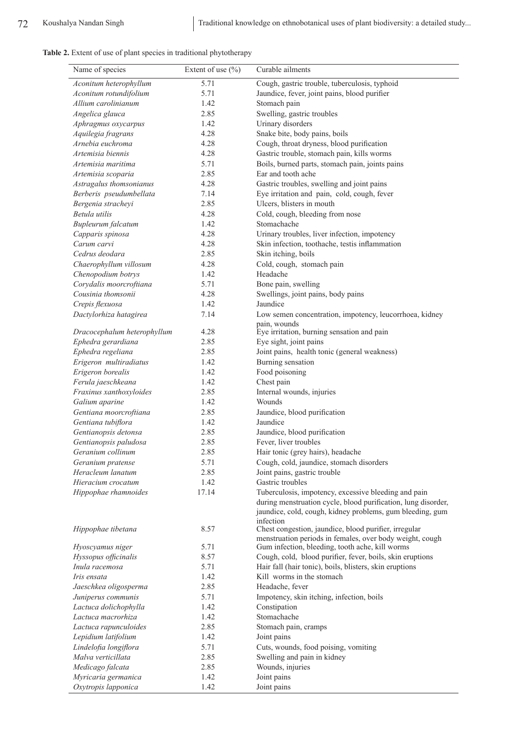| Table 2. Extent of use of plant species in traditional phytotherapy |  |  |  |
|---------------------------------------------------------------------|--|--|--|
|---------------------------------------------------------------------|--|--|--|

| Name of species                               | Extent of use $(\% )$ | Curable ailments                                                                                            |
|-----------------------------------------------|-----------------------|-------------------------------------------------------------------------------------------------------------|
| Aconitum heterophyllum                        | 5.71                  | Cough, gastric trouble, tuberculosis, typhoid                                                               |
| Aconitum rotundifolium                        | 5.71                  | Jaundice, fever, joint pains, blood purifier                                                                |
| Allium carolinianum                           | 1.42                  | Stomach pain                                                                                                |
| Angelica glauca                               | 2.85                  | Swelling, gastric troubles                                                                                  |
| Aphragmus oxycarpus                           | 1.42                  | Urinary disorders                                                                                           |
| Aquilegia fragrans                            | 4.28                  | Snake bite, body pains, boils                                                                               |
| Arnebia euchroma                              | 4.28                  | Cough, throat dryness, blood purification                                                                   |
| Artemisia biennis                             | 4.28                  | Gastric trouble, stomach pain, kills worms                                                                  |
| Artemisia maritima                            | 5.71                  | Boils, burned parts, stomach pain, joints pains                                                             |
| Artemisia scoparia                            | 2.85                  | Ear and tooth ache                                                                                          |
| Astragalus thomsonianus                       | 4.28                  | Gastric troubles, swelling and joint pains                                                                  |
| Berberis pseudumbellata                       | 7.14                  | Eye irritation and pain, cold, cough, fever                                                                 |
| Bergenia stracheyi                            | 2.85                  | Ulcers, blisters in mouth                                                                                   |
| Betula utilis                                 | 4.28<br>1.42          | Cold, cough, bleeding from nose<br>Stomachache                                                              |
| Bupleurum falcatum                            | 4.28                  | Urinary troubles, liver infection, impotency                                                                |
| Capparis spinosa<br>Carum carvi               | 4.28                  | Skin infection, toothache, testis inflammation                                                              |
| Cedrus deodara                                | 2.85                  | Skin itching, boils                                                                                         |
| Chaerophyllum villosum                        | 4.28                  | Cold, cough, stomach pain                                                                                   |
| Chenopodium botrys                            | 1.42                  | Headache                                                                                                    |
| Corydalis moorcroftiana                       | 5.71                  | Bone pain, swelling                                                                                         |
| Cousinia thomsonii                            | 4.28                  | Swellings, joint pains, body pains                                                                          |
| Crepis flexuosa                               | 1.42                  | Jaundice                                                                                                    |
| Dactylorhiza hatagirea                        | 7.14                  | Low semen concentration, impotency, leucorrhoea, kidney                                                     |
|                                               |                       | pain, wounds                                                                                                |
| Dracocephalum heterophyllum                   | 4.28                  | Eye irritation, burning sensation and pain                                                                  |
| Ephedra gerardiana                            | 2.85                  | Eye sight, joint pains                                                                                      |
| Ephedra regeliana                             | 2.85                  | Joint pains, health tonic (general weakness)                                                                |
| Erigeron multiradiatus                        | 1.42                  | Burning sensation                                                                                           |
| Erigeron borealis                             | 1.42                  | Food poisoning                                                                                              |
| Ferula jaeschkeana                            | 1.42                  | Chest pain                                                                                                  |
| Fraxinus xanthoxyloides                       | 2.85                  | Internal wounds, injuries                                                                                   |
| Galium aparine                                | 1.42                  | Wounds                                                                                                      |
| Gentiana moorcroftiana                        | 2.85                  | Jaundice, blood purification                                                                                |
| Gentiana tubiflora                            | 1.42                  | Jaundice                                                                                                    |
| Gentianopsis detonsa<br>Gentianopsis paludosa | 2.85<br>2.85          | Jaundice, blood purification<br>Fever, liver troubles                                                       |
| Geranium collinum                             | 2.85                  | Hair tonic (grey hairs), headache                                                                           |
| Geranium pratense                             | 5.71                  | Cough, cold, jaundice, stomach disorders                                                                    |
| Heracleum lanatum                             | 2.85                  | Joint pains, gastric trouble                                                                                |
| Hieracium crocatum                            | 1.42                  | Gastric troubles                                                                                            |
| Hippophae rhamnoides                          | 17.14                 | Tuberculosis, impotency, excessive bleeding and pain                                                        |
|                                               |                       | during menstruation cycle, blood purification, lung disorder,                                               |
|                                               |                       | jaundice, cold, cough, kidney problems, gum bleeding, gum                                                   |
|                                               |                       | infection                                                                                                   |
| Hippophae tibetana                            | 8.57                  | Chest congestion, jaundice, blood purifier, irregular                                                       |
| Hyoscyamus niger                              | 5.71                  | menstruation periods in females, over body weight, cough<br>Gum infection, bleeding, tooth ache, kill worms |
| Hyssopus officinalis                          | 8.57                  | Cough, cold, blood purifier, fever, boils, skin eruptions                                                   |
| Inula racemosa                                | 5.71                  | Hair fall (hair tonic), boils, blisters, skin eruptions                                                     |
| Iris ensata                                   | 1.42                  | Kill worms in the stomach                                                                                   |
| Jaeschkea oligosperma                         | 2.85                  | Headache, fever                                                                                             |
| Juniperus communis                            | 5.71                  | Impotency, skin itching, infection, boils                                                                   |
| Lactuca dolichophylla                         | 1.42                  | Constipation                                                                                                |
| Lactuca macrorhiza                            | 1.42                  | Stomachache                                                                                                 |
| Lactuca rapunculoides                         | 2.85                  | Stomach pain, cramps                                                                                        |
| Lepidium latifolium                           | 1.42                  | Joint pains                                                                                                 |
| Lindelofia longiflora                         | 5.71                  | Cuts, wounds, food poising, vomiting                                                                        |
| Malva verticillata                            | 2.85                  | Swelling and pain in kidney                                                                                 |
| Medicago falcata                              | 2.85                  | Wounds, injuries                                                                                            |
| Myricaria germanica                           | 1.42                  | Joint pains                                                                                                 |
| Oxytropis lapponica                           | 1.42                  | Joint pains                                                                                                 |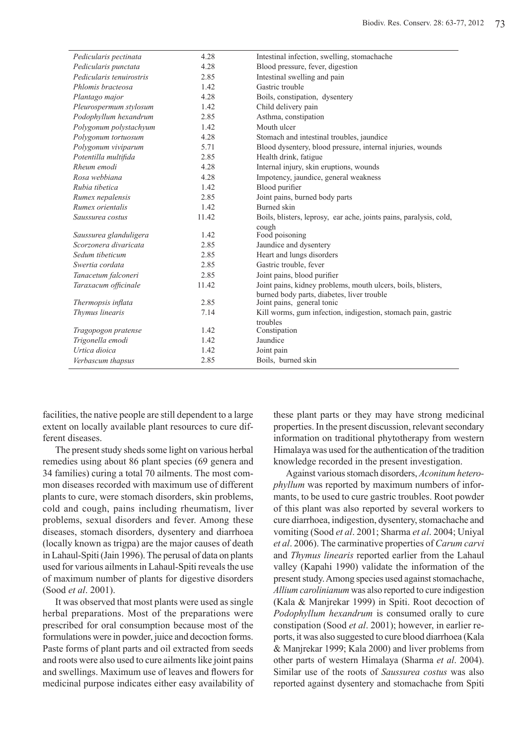| Pedicularis pectinata    | 4.28  | Intestinal infection, swelling, stomachache                        |
|--------------------------|-------|--------------------------------------------------------------------|
| Pedicularis punctata     | 4.28  | Blood pressure, fever, digestion                                   |
| Pedicularis tenuirostris | 2.85  | Intestinal swelling and pain                                       |
| Phlomis bracteosa        | 1.42  | Gastric trouble                                                    |
| Plantago major           | 4.28  | Boils, constipation, dysentery                                     |
| Pleurospermum stylosum   | 1.42  | Child delivery pain                                                |
| Podophyllum hexandrum    | 2.85  | Asthma, constipation                                               |
| Polygonum polystachyum   | 1.42  | Mouth ulcer                                                        |
| Polygonum tortuosum      | 4.28  | Stomach and intestinal troubles, jaundice                          |
| Polygonum viviparum      | 5.71  | Blood dysentery, blood pressure, internal injuries, wounds         |
| Potentilla multifida     | 2.85  | Health drink, fatigue                                              |
| Rheum emodi              | 4.28  | Internal injury, skin eruptions, wounds                            |
| Rosa webbiana            | 4.28  | Impotency, jaundice, general weakness                              |
| Rubia tibetica           | 1.42  | Blood purifier                                                     |
| Rumex nepalensis         | 2.85  | Joint pains, burned body parts                                     |
| Rumex orientalis         | 1.42  | <b>Burned</b> skin                                                 |
| Saussurea costus         | 11.42 | Boils, blisters, leprosy, ear ache, joints pains, paralysis, cold, |
|                          |       | cough                                                              |
| Saussurea glanduligera   | 1.42  | Food poisoning                                                     |
| Scorzonera divaricata    | 2.85  | Jaundice and dysentery                                             |
| Sedum tibeticum          | 2.85  | Heart and lungs disorders                                          |
| Swertia cordata          | 2.85  | Gastric trouble, fever                                             |
| Tanacetum falconeri      | 2.85  | Joint pains, blood purifier                                        |
| Taraxacum officinale     | 11.42 | Joint pains, kidney problems, mouth ulcers, boils, blisters,       |
|                          |       | burned body parts, diabetes, liver trouble                         |
| Thermopsis inflata       | 2.85  | Joint pains, general tonic                                         |
| Thymus linearis          | 7.14  | Kill worms, gum infection, indigestion, stomach pain, gastric      |
|                          |       | troubles                                                           |
| Tragopogon pratense      | 1.42  | Constipation                                                       |
| Trigonella emodi         | 1.42  | Jaundice                                                           |
| Urtica dioica            | 1.42  | Joint pain                                                         |
| Verbascum thapsus        | 2.85  | Boils, burned skin                                                 |

facilities, the native people are still dependent to a large extent on locally available plant resources to cure different diseases.

The present study sheds some light on various herbal remedies using about 86 plant species (69 genera and 34 families) curing a total 70 ailments. The most common diseases recorded with maximum use of different plants to cure, were stomach disorders, skin problems, cold and cough, pains including rheumatism, liver problems, sexual disorders and fever. Among these diseases, stomach disorders, dysentery and diarrhoea (locally known as trigpa) are the major causes of death in Lahaul-Spiti (Jain 1996). The perusal of data on plants used for various ailments in Lahaul-Spiti reveals the use of maximum number of plants for digestive disorders (Sood *et al*. 2001).

It was observed that most plants were used as single herbal preparations. Most of the preparations were prescribed for oral consumption because most of the formulations were in powder, juice and decoction forms. Paste forms of plant parts and oil extracted from seeds and roots were also used to cure ailments like joint pains and swellings. Maximum use of leaves and flowers for medicinal purpose indicates either easy availability of these plant parts or they may have strong medicinal properties. In the present discussion, relevant secondary information on traditional phytotherapy from western Himalaya was used for the authentication of the tradition knowledge recorded in the present investigation.

Against various stomach disorders, *Aconitum heterophyllum* was reported by maximum numbers of informants, to be used to cure gastric troubles. Root powder of this plant was also reported by several workers to cure diarrhoea, indigestion, dysentery, stomachache and vomiting (Sood *et al*. 2001; Sharma *et al*. 2004; Uniyal *et al*. 2006). The carminative properties of *Carum carvi*  and *Thymus linearis* reported earlier from the Lahaul valley (Kapahi 1990) validate the information of the present study. Among species used against stomachache, *Allium carolinianum* was also reported to cure indigestion (Kala & Manjrekar 1999) in Spiti. Root decoction of *Podophyllum hexandrum* is consumed orally to cure constipation (Sood *et al*. 2001); however, in earlier reports, it was also suggested to cure blood diarrhoea (Kala & Manjrekar 1999; Kala 2000) and liver problems from other parts of western Himalaya (Sharma *et al*. 2004). Similar use of the roots of *Saussurea costus* was also reported against dysentery and stomachache from Spiti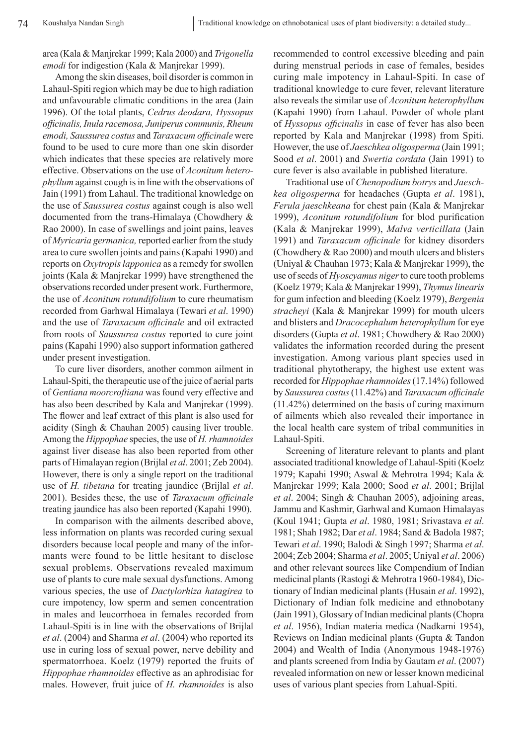area (Kala & Manjrekar 1999; Kala 2000) and *Trigonella emodi* for indigestion (Kala & Manjrekar 1999).

Among the skin diseases, boil disorder is common in Lahaul-Spiti region which may be due to high radiation and unfavourable climatic conditions in the area (Jain 1996). Of the total plants, *Cedrus deodara, Hyssopus officinalis, Inula racemosa, Juniperus communis, Rheum emodi, Saussurea costus* and *Taraxacum officinale* were found to be used to cure more than one skin disorder which indicates that these species are relatively more effective. Observations on the use of *Aconitum heterophyllum* against cough is in line with the observations of Jain (1991) from Lahaul. The traditional knowledge on the use of *Saussurea costus* against cough is also well documented from the trans-Himalaya (Chowdhery & Rao 2000). In case of swellings and joint pains, leaves of *Myricaria germanica,* reported earlier from the study area to cure swollen joints and pains (Kapahi 1990) and reports on *Oxytropis lapponica* as a remedy for swollen joints (Kala & Manjrekar 1999) have strengthened the observations recorded under present work. Furthermore, the use of *Aconitum rotundifolium* to cure rheumatism recorded from Garhwal Himalaya (Tewari *et al*. 1990) and the use of *Taraxacum officinale* and oil extracted from roots of *Saussurea costus* reported to cure joint pains (Kapahi 1990) also support information gathered under present investigation.

To cure liver disorders, another common ailment in Lahaul-Spiti, the therapeutic use of the juice of aerial parts of *Gentiana moorcroftiana* was found very effective and has also been described by Kala and Manjrekar (1999). The flower and leaf extract of this plant is also used for acidity (Singh & Chauhan 2005) causing liver trouble. Among the *Hippophae* species, the use of *H. rhamnoides*  against liver disease has also been reported from other parts of Himalayan region (Brijlal *et al*. 2001; Zeb 2004). However, there is only a single report on the traditional use of *H. tibetana* for treating jaundice (Brijlal *et al*. 2001). Besides these, the use of *Taraxacum officinale*  treating jaundice has also been reported (Kapahi 1990).

In comparison with the ailments described above, less information on plants was recorded curing sexual disorders because local people and many of the informants were found to be little hesitant to disclose sexual problems. Observations revealed maximum use of plants to cure male sexual dysfunctions. Among various species, the use of *Dactylorhiza hatagirea* to cure impotency, low sperm and semen concentration in males and leucorrhoea in females recorded from Lahaul-Spiti is in line with the observations of Brijlal *et al*. (2004) and Sharma *et al*. (2004) who reported its use in curing loss of sexual power, nerve debility and spermatorrhoea. Koelz (1979) reported the fruits of *Hippophae rhamnoides* effective as an aphrodisiac for males. However, fruit juice of *H. rhamnoides* is also

recommended to control excessive bleeding and pain during menstrual periods in case of females, besides curing male impotency in Lahaul-Spiti. In case of traditional knowledge to cure fever, relevant literature also reveals the similar use of *Aconitum heterophyllum* (Kapahi 1990) from Lahaul. Powder of whole plant of *Hyssopus officinalis* in case of fever has also been reported by Kala and Manjrekar (1998) from Spiti. However, the use of *Jaeschkea oligosperma* (Jain 1991; Sood *et al*. 2001) and *Swertia cordata* (Jain 1991) to cure fever is also available in published literature.

Traditional use of *Chenopodium botrys* and *Jaeschkea oligosperma* for headaches (Gupta *et al*. 1981), *Ferula jaeschkeana* for chest pain (Kala & Manjrekar 1999), *Aconitum rotundifolium* for blod purification (Kala & Manjrekar 1999), *Malva verticillata* (Jain 1991) and *Taraxacum officinale* for kidney disorders (Chowdhery & Rao 2000) and mouth ulcers and blisters (Uniyal & Chauhan 1973; Kala & Manjrekar 1999), the use of seeds of *Hyoscyamus niger* to cure tooth problems (Koelz 1979; Kala & Manjrekar 1999), *Thymus linearis* for gum infection and bleeding (Koelz 1979), *Bergenia stracheyi* (Kala & Manjrekar 1999) for mouth ulcers and blisters and *Dracocephalum heterophyllum* for eye disorders (Gupta *et al*. 1981; Chowdhery & Rao 2000) validates the information recorded during the present investigation. Among various plant species used in traditional phytotherapy, the highest use extent was recorded for *Hippophae rhamnoides* (17.14%) followed by *Saussurea costus* (11.42%) and *Taraxacum officinale*  (11.42%) determined on the basis of curing maximum of ailments which also revealed their importance in the local health care system of tribal communities in Lahaul-Spiti.

Screening of literature relevant to plants and plant associated traditional knowledge of Lahaul-Spiti (Koelz 1979; Kapahi 1990; Aswal & Mehrotra 1994; Kala & Manjrekar 1999; Kala 2000; Sood *et al*. 2001; Brijlal *et al*. 2004; Singh & Chauhan 2005), adjoining areas, Jammu and Kashmir, Garhwal and Kumaon Himalayas (Koul 1941; Gupta *et al*. 1980, 1981; Srivastava *et al*. 1981; Shah 1982; Dar *et al*. 1984; Sand & Badola 1987; Tewari *et al*. 1990; Balodi & Singh 1997; Sharma *et al*. 2004; Zeb 2004; Sharma *et al*. 2005; Uniyal *et al*. 2006) and other relevant sources like Compendium of Indian medicinal plants (Rastogi & Mehrotra 1960-1984), Dictionary of Indian medicinal plants (Husain *et al*. 1992), Dictionary of Indian folk medicine and ethnobotany (Jain 1991), Glossary of Indian medicinal plants (Chopra *et al*. 1956), Indian materia medica (Nadkarni 1954), Reviews on Indian medicinal plants (Gupta & Tandon 2004) and Wealth of India (Anonymous 1948-1976) and plants screened from India by Gautam *et al*. (2007) revealed information on new or lesser known medicinal uses of various plant species from Lahual-Spiti.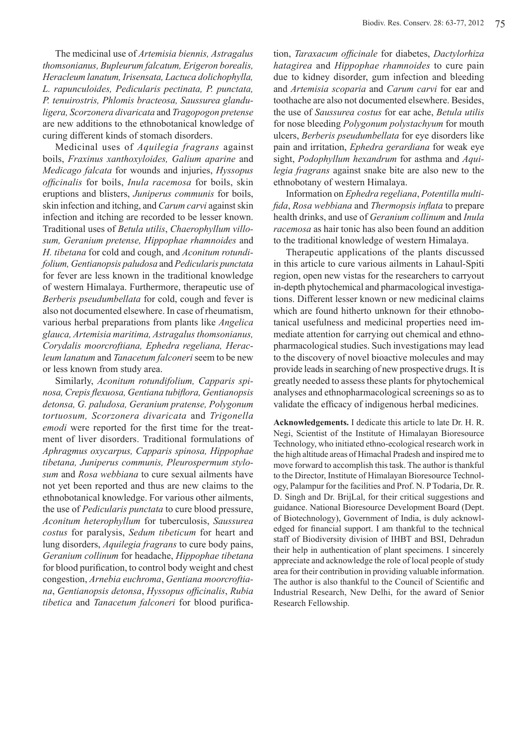The medicinal use of *Artemisia biennis, Astragalus thomsonianus, Bupleurum falcatum, Erigeron borealis, Heracleum lanatum, Irisensata, Lactuca dolichophylla, L. rapunculoides, Pedicularis pectinata, P. punctata, P. tenuirostris, Phlomis bracteosa, Saussurea glanduligera, Scorzonera divaricata* and *Tragopogon pretense*  are new additions to the ethnobotanical knowledge of curing different kinds of stomach disorders.

Medicinal uses of *Aquilegia fragrans* against boils, *Fraxinus xanthoxyloides, Galium aparine* and *Medicago falcata* for wounds and injuries, *Hyssopus officinalis* for boils, *Inula racemosa* for boils, skin eruptions and blisters, *Juniperus communis* for boils, skin infection and *itching*, and *Carum carvi* against skin infection and itching are recorded to be lesser known. Traditional uses of *Betula utilis*, *Chaerophyllum villosum, Geranium pretense, Hippophae rhamnoides* and *H. tibetana* for cold and cough, and *Aconitum rotundifolium, Gentianopsis paludosa* and *Pedicularis punctata*  for fever are less known in the traditional knowledge of western Himalaya. Furthermore, therapeutic use of *Berberis pseudumbellata* for cold, cough and fever is also not documented elsewhere. In case of rheumatism, various herbal preparations from plants like *Angelica glauca, Artemisia maritima, Astragalus thomsonianus, Corydalis moorcroftiana, Ephedra regeliana, Heracleum lanatum* and *Tanacetum falconeri* seem to be new or less known from study area.

Similarly, *Aconitum rotundifolium, Capparis spinosa, Crepis flexuosa, Gentiana tubiflora, Gentianopsis detonsa, G. paludosa, Geranium pratense, Polygonum tortuosum, Scorzonera divaricata* and *Trigonella emodi* were reported for the first time for the treatment of liver disorders. Traditional formulations of *Aphragmus oxycarpus, Capparis spinosa, Hippophae tibetana, Juniperus communis, Pleurospermum stylosum* and *Rosa webbiana* to cure sexual ailments have not yet been reported and thus are new claims to the ethnobotanical knowledge. For various other ailments, the use of *Pedicularis punctata* to cure blood pressure, *Aconitum heterophyllum* for tuberculosis, *Saussurea costus* for paralysis, *Sedum tibeticum* for heart and lung disorders, *Aquilegia fragrans* to cure body pains, *Geranium collinum* for headache, *Hippophae tibetana* for blood purification, to control body weight and chest congestion, *Arnebia euchroma*, *Gentiana moorcroftiana*, *Gentianopsis detonsa*, *Hyssopus officinalis*, *Rubia tibetica* and *Tanacetum falconeri* for blood purifica-

tion, *Taraxacum officinale* for diabetes, *Dactylorhiza hatagirea* and *Hippophae rhamnoides* to cure pain due to kidney disorder, gum infection and bleeding and *Artemisia scoparia* and *Carum carvi* for ear and toothache are also not documented elsewhere. Besides, the use of *Saussurea costus* for ear ache, *Betula utilis* for nose bleeding *Polygonum polystachyum* for mouth ulcers, *Berberis pseudumbellata* for eye disorders like pain and irritation, *Ephedra gerardiana* for weak eye sight, *Podophyllum hexandrum* for asthma and *Aquilegia fragrans* against snake bite are also new to the ethnobotany of western Himalaya.

Information on *Ephedra regeliana*, *Potentilla multifida*, *Rosa webbiana* and *Thermopsis inflata* to prepare health drinks, and use of *Geranium collinum* and *Inula racemosa* as hair tonic has also been found an addition to the traditional knowledge of western Himalaya.

Therapeutic applications of the plants discussed in this article to cure various ailments in Lahaul-Spiti region, open new vistas for the researchers to carryout in-depth phytochemical and pharmacological investigations. Different lesser known or new medicinal claims which are found hitherto unknown for their ethnobotanical usefulness and medicinal properties need immediate attention for carrying out chemical and ethnopharmacological studies. Such investigations may lead to the discovery of novel bioactive molecules and may provide leads in searching of new prospective drugs. It is greatly needed to assess these plants for phytochemical analyses and ethnopharmacological screenings so as to validate the efficacy of indigenous herbal medicines.

**Acknowledgements.** I dedicate this article to late Dr. H. R. Negi, Scientist of the Institute of Himalayan Bioresource Technology, who initiated ethno-ecological research work in the high altitude areas of Himachal Pradesh and inspired me to move forward to accomplish this task. The author is thankful to the Director, Institute of Himalayan Bioresource Technology, Palampur for the facilities and Prof. N. P Todaria, Dr. R. D. Singh and Dr. BrijLal, for their critical suggestions and guidance. National Bioresource Development Board (Dept. of Biotechnology), Government of India, is duly acknowledged for financial support. I am thankful to the technical staff of Biodiversity division of IHBT and BSI, Dehradun their help in authentication of plant specimens. I sincerely appreciate and acknowledge the role of local people of study area for their contribution in providing valuable information. The author is also thankful to the Council of Scientific and Industrial Research, New Delhi, for the award of Senior Research Fellowship.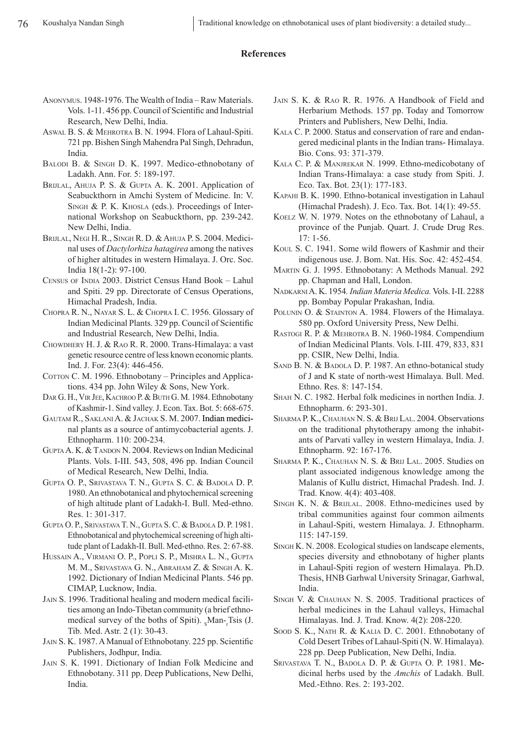## **References**

- Anonymus. 1948-1976. The Wealth of India Raw Materials. Vols. 1-11. 456 pp. Council of Scientific and Industrial Research, New Delhi, India.
- Aswal B. S. & Mehrotra B. N. 1994. Flora of Lahaul-Spiti. 721 pp. Bishen Singh Mahendra Pal Singh, Dehradun, India.
- BALODI B. & SINGH D. K. 1997. Medico-ethnobotany of Ladakh. Ann. For. 5: 189-197.
- BRIJLAL, AHUJA P. S. & GUPTA A. K. 2001. Application of Seabuckthorn in Amchi System of Medicine. In: V. SINGH & P. K. KHOSLA (eds.). Proceedings of International Workshop on Seabuckthorn, pp. 239-242. New Delhi, India.
- Brijlal, Negi H. R., Singh R. D. & Ahuja P. S. 2004. Medicinal uses of *Dactylorhiza hatagirea* among the natives of higher altitudes in western Himalaya. J. Orc. Soc. India 18(1-2): 97-100.
- Census of India 2003. District Census Hand Book Lahul and Spiti. 29 pp. Directorate of Census Operations, Himachal Pradesh, India.
- Chopra R. N., Nayar S. L. & Chopra I. C. 1956. Glossary of Indian Medicinal Plants. 329 pp. Council of Scientific and Industrial Research, New Delhi, India.
- Chowdhery H. J. & Rao R. R. 2000. Trans-Himalaya: a vast genetic resource centre of less known economic plants. Ind. J. For. 23(4): 446-456.
- COTTON C. M. 1996. Ethnobotany Principles and Applications. 434 pp. John Wiley & Sons, New York.
- DAR G. H., VIR JEE, KACHROO P. & BUTH G. M. 1984. Ethnobotany of Kashmir-1. Sind valley. J. Econ. Tax. Bot. 5: 668-675.
- Gautam R., Saklani A. & Jachak S. M. 2007. Indian medicinal plants as a source of antimycobacterial agents. J. Ethnopharm. 110: 200-234.
- GUPTA A. K. & TANDON N. 2004. Reviews on Indian Medicinal Plants. Vols. I-III. 543, 508, 496 pp. Indian Council of Medical Research, New Delhi, India.
- Gupta O. P., Srivastava T. N., Gupta S. C. & Badola D. P. 1980. An ethnobotanical and phytochemical screening of high altitude plant of Ladakh-I. Bull. Med-ethno. Res. 1: 301-317.
- Gupta O. P., Srivastava T. N., Gupta S. C. & Badola D. P. 1981. Ethnobotanical and phytochemical screening of high altitude plant of Ladakh-II. Bull. Med-ethno. Res. 2: 67-88.
- Hussain A., Virmani O. P., Popli S. P., Mishra L. N., Gupta M. M., Srivastava G. N., Abraham Z. & Singh A. K. 1992. Dictionary of Indian Medicinal Plants. 546 pp. CIMAP, Lucknow, India.
- JAIN S. 1996. Traditional healing and modern medical facilities among an Indo-Tibetan community (a brief ethnomedical survey of the boths of Spiti).  $_{\rm s}$ Man- $_{\rm r}$ Tsis (J. Tib. Med. Astr. 2 (1): 30-43.
- Jain S. K. 1987. A Manual of Ethnobotany. 225 pp. Scientific Publishers, Jodhpur, India.
- JAIN S. K. 1991. Dictionary of Indian Folk Medicine and Ethnobotany. 311 pp. Deep Publications, New Delhi, India.
- JAIN S. K. & RAO R. R. 1976. A Handbook of Field and Herbarium Methods. 157 pp. Today and Tomorrow Printers and Publishers, New Delhi, India.
- Kala C. P. 2000. Status and conservation of rare and endangered medicinal plants in the Indian trans- Himalaya. Bio. Cons. 93: 371-379.
- Kala C. P. & Manjrekar N. 1999. Ethno-medicobotany of Indian Trans-Himalaya: a case study from Spiti. J. Eco. Tax. Bot. 23(1): 177-183.
- Kapahi B. K. 1990. Ethno-botanical investigation in Lahaul (Himachal Pradesh). J. Eco. Tax. Bot. 14(1): 49-55.
- KOELZ W. N. 1979. Notes on the ethnobotany of Lahaul, a province of the Punjab. Quart. J. Crude Drug Res. 17: 1-56.
- Koul S. C. 1941. Some wild flowers of Kashmir and their indigenous use. J. Bom. Nat. His. Soc. 42: 452-454.
- Martin G. J. 1995. Ethnobotany: A Methods Manual. 292 pp. Chapman and Hall, London.
- Nadkarni A. K. 1954*. Indian Materia Medica.* Vols. I-II. 2288 pp. Bombay Popular Prakashan, India.
- POLUNIN O. & STAINTON A. 1984. Flowers of the Himalaya. 580 pp. Oxford University Press, New Delhi.
- Rastogi R. P. & Mehrotra B. N. 1960-1984. Compendium of Indian Medicinal Plants. Vols. I-III. 479, 833, 831 pp. CSIR, New Delhi, India.
- SAND B. N. & BADOLA D. P. 1987. An ethno-botanical study of J and K state of north-west Himalaya. Bull. Med. Ethno. Res. 8: 147-154.
- Shah N. C. 1982. Herbal folk medicines in northen India. J. Ethnopharm. 6: 293-301.
- SHARMA P. K., CHAUHAN N. S. & BRIJ LAL. 2004. Observations on the traditional phytotherapy among the inhabitants of Parvati valley in western Himalaya, India. J. Ethnopharm. 92: 167-176.
- Sharma P. K., Chauhan N. S. & Brij Lal. 2005. Studies on plant associated indigenous knowledge among the Malanis of Kullu district, Himachal Pradesh. Ind. J. Trad. Know. 4(4): 403-408.
- SINGH K. N. & BRIJLAL. 2008. Ethno-medicines used by tribal communities against four common ailments in Lahaul-Spiti, western Himalaya. J. Ethnopharm. 115: 147-159.
- Singh K. N. 2008. Ecological studies on landscape elements, species diversity and ethnobotany of higher plants in Lahaul-Spiti region of western Himalaya. Ph.D. Thesis, HNB Garhwal University Srinagar, Garhwal, India.
- Singh V. & Chauhan N. S. 2005. Traditional practices of herbal medicines in the Lahaul valleys, Himachal Himalayas. Ind. J. Trad. Know. 4(2): 208-220.
- Sood S. K., Nath R. & Kalia D. C. 2001. Ethnobotany of Cold Desert Tribes of Lahaul-Spiti (N. W. Himalaya). 228 pp. Deep Publication, New Delhi, India.
- Srivastava T. N., Badola D. P. & Gupta O. P. 1981. Medicinal herbs used by the *Amchis* of Ladakh. Bull. Med.-Ethno. Res. 2: 193-202.